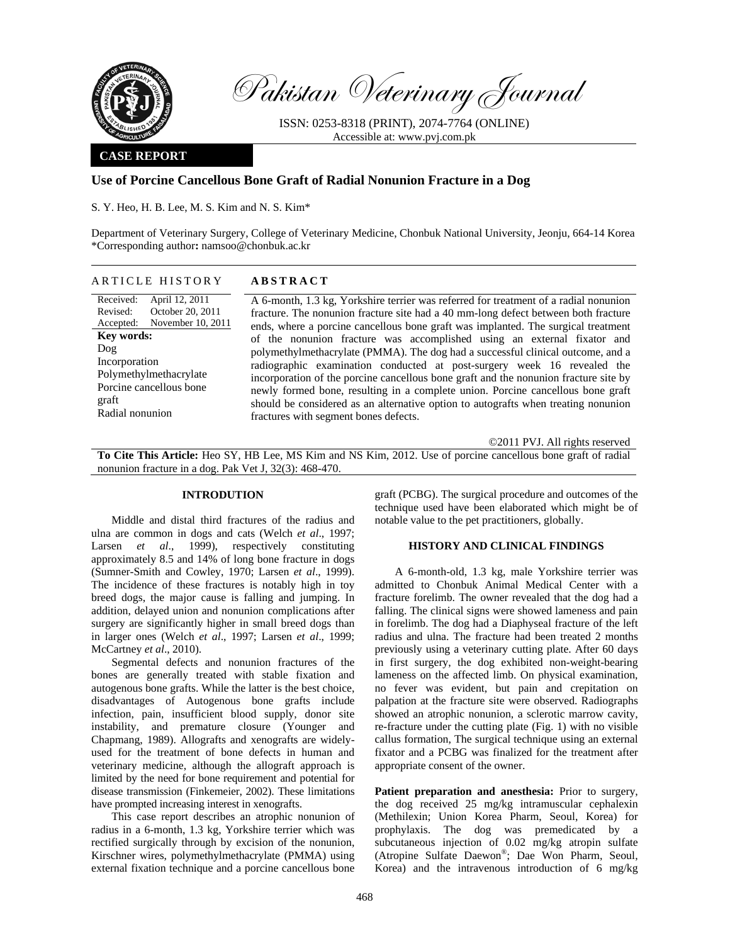

Pakistan Veterinary Journal

ISSN: 0253-8318 (PRINT), 2074-7764 (ONLINE) Accessible at: www.pvj.com.pk

## **CASE REPORT**

# **Use of Porcine Cancellous Bone Graft of Radial Nonunion Fracture in a Dog**

S. Y. Heo, H. B. Lee, M. S. Kim and N. S. Kim\*

Department of Veterinary Surgery, College of Veterinary Medicine, Chonbuk National University, Jeonju, 664-14 Korea \*Corresponding author**:** namsoo@chonbuk.ac.kr

## ARTICLE HISTORY **ABSTRACT**

Received: Revised: Accepted: April 12, 2011 October 20, 2011 November 10, 2011 **Key words:**  Dog Incorporation Polymethylmethacrylate Porcine cancellous bone graft Radial nonunion

A 6-month, 1.3 kg, Yorkshire terrier was referred for treatment of a radial nonunion fracture. The nonunion fracture site had a 40 mm-long defect between both fracture ends, where a porcine cancellous bone graft was implanted. The surgical treatment of the nonunion fracture was accomplished using an external fixator and polymethylmethacrylate (PMMA). The dog had a successful clinical outcome, and a radiographic examination conducted at post-surgery week 16 revealed the incorporation of the porcine cancellous bone graft and the nonunion fracture site by newly formed bone, resulting in a complete union. Porcine cancellous bone graft should be considered as an alternative option to autografts when treating nonunion fractures with segment bones defects.

©2011 PVJ. All rights reserved

**To Cite This Article:** Heo SY, HB Lee, MS Kim and NS Kim, 2012. Use of porcine cancellous bone graft of radial nonunion fracture in a dog. Pak Vet J, 32(3): 468-470.

### **INTRODUTION**

Middle and distal third fractures of the radius and ulna are common in dogs and cats (Welch *et al*., 1997; Larsen *et al.*, 1999), respectively constituting approximately 8.5 and 14% of long bone fracture in dogs (Sumner-Smith and Cowley, 1970; Larsen *et al*., 1999). The incidence of these fractures is notably high in toy breed dogs, the major cause is falling and jumping. In addition, delayed union and nonunion complications after surgery are significantly higher in small breed dogs than in larger ones (Welch *et al*., 1997; Larsen *et al*., 1999; McCartney *et al*., 2010).

Segmental defects and nonunion fractures of the bones are generally treated with stable fixation and autogenous bone grafts. While the latter is the best choice, disadvantages of Autogenous bone grafts include infection, pain, insufficient blood supply, donor site instability, and premature closure (Younger and Chapmang, 1989). Allografts and xenografts are widelyused for the treatment of bone defects in human and veterinary medicine, although the allograft approach is limited by the need for bone requirement and potential for disease transmission (Finkemeier, 2002). These limitations have prompted increasing interest in xenografts.

This case report describes an atrophic nonunion of radius in a 6-month, 1.3 kg, Yorkshire terrier which was rectified surgically through by excision of the nonunion, Kirschner wires, polymethylmethacrylate (PMMA) using external fixation technique and a porcine cancellous bone

graft (PCBG). The surgical procedure and outcomes of the technique used have been elaborated which might be of notable value to the pet practitioners, globally.

## **HISTORY AND CLINICAL FINDINGS**

A 6-month-old, 1.3 kg, male Yorkshire terrier was admitted to Chonbuk Animal Medical Center with a fracture forelimb. The owner revealed that the dog had a falling. The clinical signs were showed lameness and pain in forelimb. The dog had a Diaphyseal fracture of the left radius and ulna. The fracture had been treated 2 months previously using a veterinary cutting plate. After 60 days in first surgery, the dog exhibited non-weight-bearing lameness on the affected limb. On physical examination, no fever was evident, but pain and crepitation on palpation at the fracture site were observed. Radiographs showed an atrophic nonunion, a sclerotic marrow cavity, re-fracture under the cutting plate (Fig. 1) with no visible callus formation, The surgical technique using an external fixator and a PCBG was finalized for the treatment after appropriate consent of the owner.

Patient preparation and anesthesia: Prior to surgery, the dog received 25 mg/kg intramuscular cephalexin (Methilexin; Union Korea Pharm, Seoul, Korea) for prophylaxis. The dog was premedicated by a subcutaneous injection of 0.02 mg/kg atropin sulfate (Atropine Sulfate Daewon®; Dae Won Pharm, Seoul, Korea) and the intravenous introduction of 6 mg/kg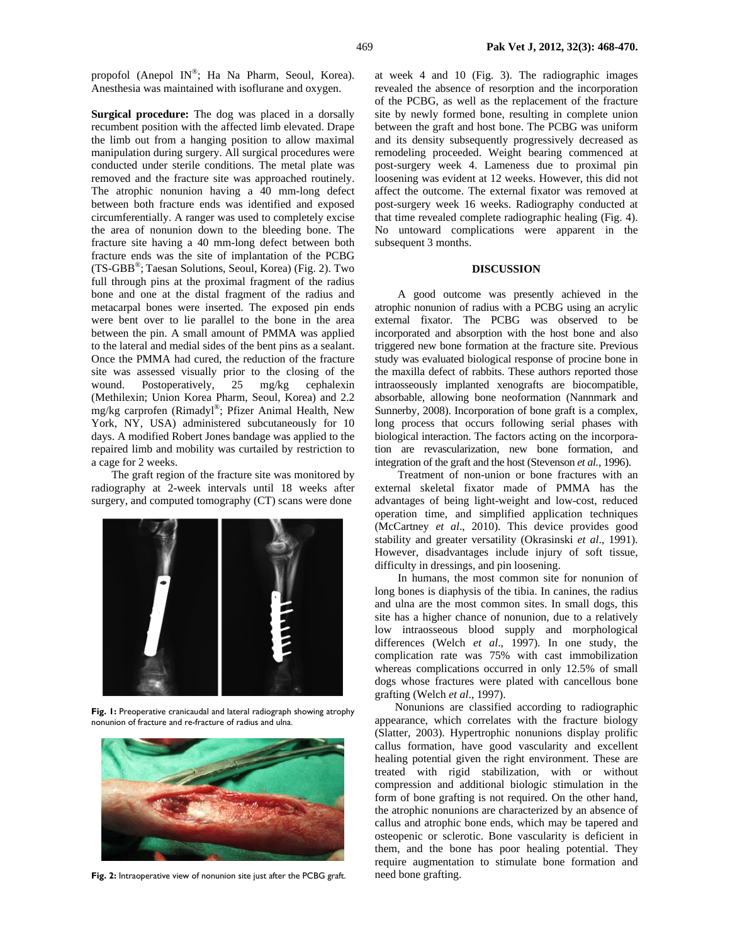propofol (Anepol IN®; Ha Na Pharm, Seoul, Korea). Anesthesia was maintained with isoflurane and oxygen.

**Surgical procedure:** The dog was placed in a dorsally recumbent position with the affected limb elevated. Drape the limb out from a hanging position to allow maximal manipulation during surgery. All surgical procedures were conducted under sterile conditions. The metal plate was removed and the fracture site was approached routinely. The atrophic nonunion having a 40 mm-long defect between both fracture ends was identified and exposed circumferentially. A ranger was used to completely excise the area of nonunion down to the bleeding bone. The fracture site having a 40 mm-long defect between both fracture ends was the site of implantation of the PCBG (TS-GBB®; Taesan Solutions, Seoul, Korea) (Fig. 2). Two full through pins at the proximal fragment of the radius bone and one at the distal fragment of the radius and metacarpal bones were inserted. The exposed pin ends were bent over to lie parallel to the bone in the area between the pin. A small amount of PMMA was applied to the lateral and medial sides of the bent pins as a sealant. Once the PMMA had cured, the reduction of the fracture site was assessed visually prior to the closing of the wound. Postoperatively, 25 mg/kg cephalexin (Methilexin; Union Korea Pharm, Seoul, Korea) and 2.2 mg/kg carprofen (Rimadyl®; Pfizer Animal Health, New York, NY, USA) administered subcutaneously for 10 days. A modified Robert Jones bandage was applied to the repaired limb and mobility was curtailed by restriction to a cage for 2 weeks.

The graft region of the fracture site was monitored by radiography at 2-week intervals until 18 weeks after surgery, and computed tomography (CT) scans were done



**Fig. 1:** Preoperative cranicaudal and lateral radiograph showing atrophy nonunion of fracture and re-fracture of radius and ulna.



Fig. 2: Intraoperative view of nonunion site just after the PCBG graft.

at week 4 and 10 (Fig. 3). The radiographic images revealed the absence of resorption and the incorporation of the PCBG, as well as the replacement of the fracture site by newly formed bone, resulting in complete union between the graft and host bone. The PCBG was uniform and its density subsequently progressively decreased as remodeling proceeded. Weight bearing commenced at post-surgery week 4. Lameness due to proximal pin loosening was evident at 12 weeks. However, this did not affect the outcome. The external fixator was removed at post-surgery week 16 weeks. Radiography conducted at that time revealed complete radiographic healing (Fig. 4). No untoward complications were apparent in the subsequent 3 months.

## **DISCUSSION**

 A good outcome was presently achieved in the atrophic nonunion of radius with a PCBG using an acrylic external fixator. The PCBG was observed to be incorporated and absorption with the host bone and also triggered new bone formation at the fracture site. Previous study was evaluated biological response of procine bone in the maxilla defect of rabbits. These authors reported those intraosseously implanted xenografts are biocompatible, absorbable, allowing bone neoformation (Nannmark and Sunnerby*,* 2008). Incorporation of bone graft is a complex, long process that occurs following serial phases with biological interaction. The factors acting on the incorporation are revascularization, new bone formation, and integration of the graft and the host (Stevenson *et al.,* 1996).

 Treatment of non-union or bone fractures with an external skeletal fixator made of PMMA has the advantages of being light-weight and low-cost, reduced operation time, and simplified application techniques (McCartney *et al*., 2010). This device provides good stability and greater versatility (Okrasinski *et al*., 1991). However, disadvantages include injury of soft tissue, difficulty in dressings, and pin loosening.

 In humans, the most common site for nonunion of long bones is diaphysis of the tibia. In canines, the radius and ulna are the most common sites. In small dogs, this site has a higher chance of nonunion, due to a relatively low intraosseous blood supply and morphological differences (Welch *et al*., 1997). In one study, the complication rate was 75% with cast immobilization whereas complications occurred in only 12.5% of small dogs whose fractures were plated with cancellous bone grafting (Welch *et al*., 1997).

Nonunions are classified according to radiographic appearance, which correlates with the fracture biology (Slatter*,* 2003). Hypertrophic nonunions display prolific callus formation, have good vascularity and excellent healing potential given the right environment. These are treated with rigid stabilization, with or without compression and additional biologic stimulation in the form of bone grafting is not required. On the other hand, the atrophic nonunions are characterized by an absence of callus and atrophic bone ends, which may be tapered and osteopenic or sclerotic. Bone vascularity is deficient in them, and the bone has poor healing potential. They require augmentation to stimulate bone formation and need bone grafting.